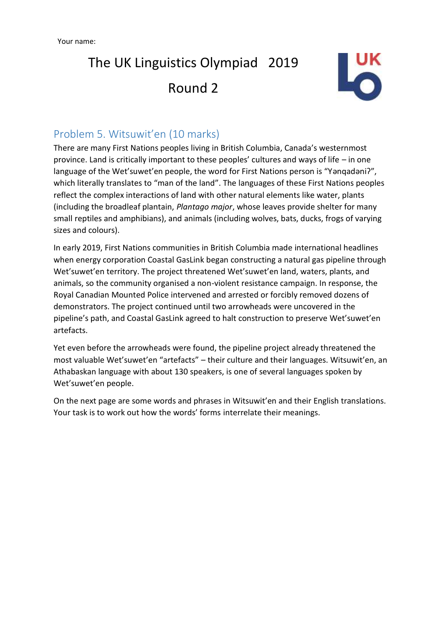## The UK Linguistics Olympiad 2019 Round 2



#### Problem 5. Witsuwit'en (10 marks)

There are many First Nations peoples living in British Columbia, Canada's westernmost province. Land is critically important to these peoples' cultures and ways of life – in one language of the Wet'suwet'en people, the word for First Nations person is "Yangadani?", which literally translates to "man of the land". The languages of these First Nations peoples reflect the complex interactions of land with other natural elements like water, plants (including the broadleaf plantain, *Plantago major*, whose leaves provide shelter for many small reptiles and amphibians), and animals (including wolves, bats, ducks, frogs of varying sizes and colours).

In early 2019, First Nations communities in British Columbia made international headlines when energy corporation Coastal GasLink began constructing a natural gas pipeline through Wet'suwet'en territory. The project threatened Wet'suwet'en land, waters, plants, and animals, so the community organised a non-violent resistance campaign. In response, the Royal Canadian Mounted Police intervened and arrested or forcibly removed dozens of demonstrators. The project continued until two arrowheads were uncovered in the pipeline's path, and Coastal GasLink agreed to halt construction to preserve Wet'suwet'en artefacts.

Yet even before the arrowheads were found, the pipeline project already threatened the most valuable Wet'suwet'en "artefacts" – their culture and their languages. Witsuwit'en, an Athabaskan language with about 130 speakers, is one of several languages spoken by Wet'suwet'en people.

On the next page are some words and phrases in Witsuwit'en and their English translations. Your task is to work out how the words' forms interrelate their meanings.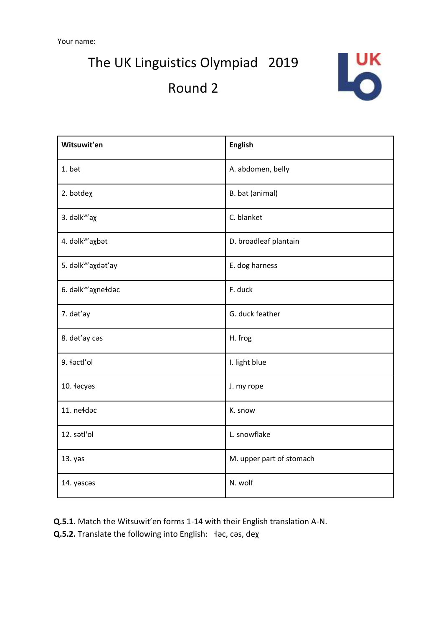The UK Linguistics Olympiad 2019

### Round 2



| Witsuwit'en                   | <b>English</b>           |
|-------------------------------|--------------------------|
| 1. bət                        | A. abdomen, belly        |
| 2. batdex                     | B. bat (animal)          |
| 3. dəlk <sup>w</sup> ax       | C. blanket               |
| 4. dalk <sup>w</sup> 'aχbat   | D. broadleaf plantain    |
| 5. dalk <sup>w</sup> aχdat'ay | E. dog harness           |
| 6. dalk <sup>w</sup> axnetdac | F. duck                  |
| 7. dət'ay                     | G. duck feather          |
| 8. dət'ay cəs                 | H. frog                  |
| 9. łactl'ol                   | I. light blue            |
| 10. łacyas                    | J. my rope               |
| 11. ne <sup>+</sup> dac       | K. snow                  |
| 12. satl'ol                   | L. snowflake             |
| 13. yas                       | M. upper part of stomach |
| 14. yascas                    | N. wolf                  |

**Q.5.1.** Match the Witsuwit'en forms 1-14 with their English translation A-N.

**Q.5.2.** Translate the following into English: ɬəc, cəs, deꭓ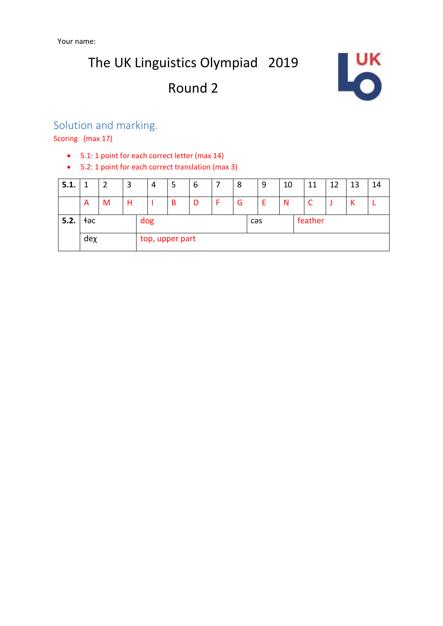# The UK Linguistics Olympiad 2019 Round 2



### Solution and marking.

Scoring (max 17)

- 5.1: 1 point for each correct letter (max 14)
- 5.2: 1 point for each correct translation (max 3)

| 5.1. | 1   |   | 3 |                 | 4 | 5 | 6 |  | 8 |     | 9 | 10 | 11      | 12 | 13 | 14 |
|------|-----|---|---|-----------------|---|---|---|--|---|-----|---|----|---------|----|----|----|
|      | A   | M | Н |                 |   | B | D |  | G |     | E | N  |         |    | К  |    |
| 5.2. | təc |   |   | dog             |   |   |   |  |   | cəs |   |    | feather |    |    |    |
|      | deχ |   |   | top, upper part |   |   |   |  |   |     |   |    |         |    |    |    |